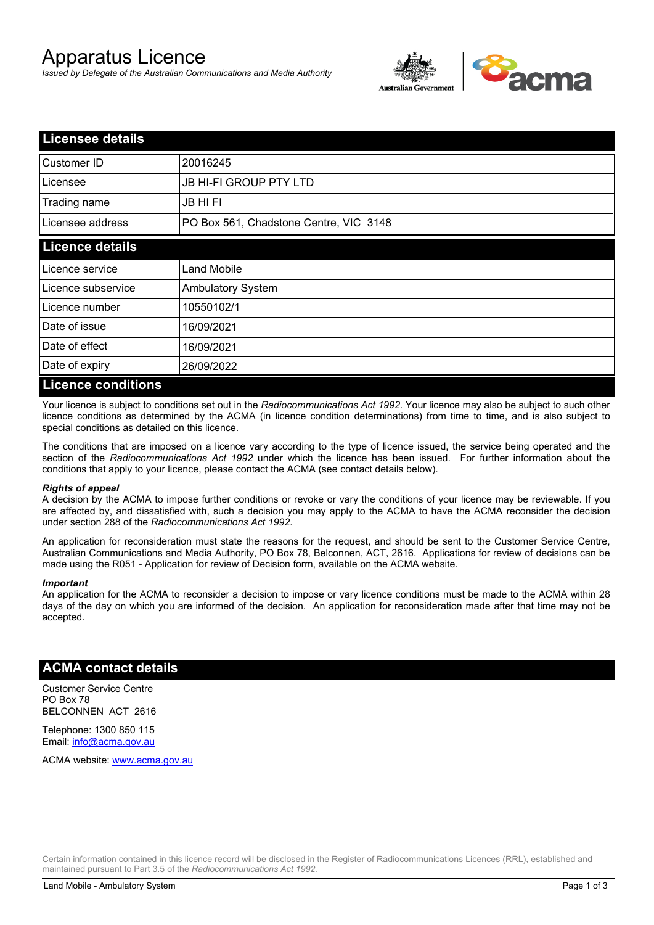# Apparatus Licence

*Issued by Delegate of the Australian Communications and Media Authority*



| <b>Licensee details</b>   |                                        |  |
|---------------------------|----------------------------------------|--|
| Customer ID               | 20016245                               |  |
| Licensee                  | <b>JB HI-FI GROUP PTY LTD</b>          |  |
| Trading name              | <b>JB HIFI</b>                         |  |
| Licensee address          | PO Box 561, Chadstone Centre, VIC 3148 |  |
| <b>Licence details</b>    |                                        |  |
| Licence service           | <b>Land Mobile</b>                     |  |
| Licence subservice        | <b>Ambulatory System</b>               |  |
| Licence number            | 10550102/1                             |  |
| Date of issue             | 16/09/2021                             |  |
| Date of effect            | 16/09/2021                             |  |
| Date of expiry            | 26/09/2022                             |  |
| <b>Licence conditions</b> |                                        |  |

Your licence is subject to conditions set out in the *Radiocommunications Act 1992*. Your licence may also be subject to such other licence conditions as determined by the ACMA (in licence condition determinations) from time to time, and is also subject to special conditions as detailed on this licence.

The conditions that are imposed on a licence vary according to the type of licence issued, the service being operated and the section of the *Radiocommunications Act 1992* under which the licence has been issued. For further information about the conditions that apply to your licence, please contact the ACMA (see contact details below).

### *Rights of appeal*

A decision by the ACMA to impose further conditions or revoke or vary the conditions of your licence may be reviewable. If you are affected by, and dissatisfied with, such a decision you may apply to the ACMA to have the ACMA reconsider the decision under section 288 of the *Radiocommunications Act 1992*.

An application for reconsideration must state the reasons for the request, and should be sent to the Customer Service Centre, Australian Communications and Media Authority, PO Box 78, Belconnen, ACT, 2616. Applications for review of decisions can be made using the R051 - Application for review of Decision form, available on the ACMA website.

#### *Important*

An application for the ACMA to reconsider a decision to impose or vary licence conditions must be made to the ACMA within 28 days of the day on which you are informed of the decision. An application for reconsideration made after that time may not be accepted.

### **ACMA contact details**

Customer Service Centre PO Box 78 BELCONNEN ACT 2616

Telephone: 1300 850 115 Email: info@acma.gov.au

ACMA website: www.acma.gov.au

Certain information contained in this licence record will be disclosed in the Register of Radiocommunications Licences (RRL), established and maintained pursuant to Part 3.5 of the *Radiocommunications Act 1992.*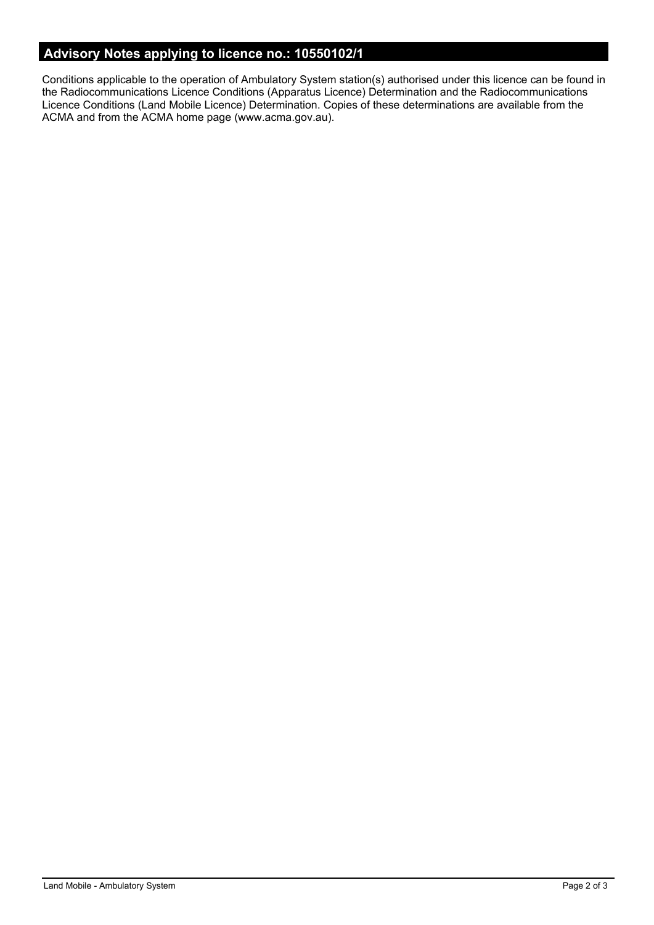# **Advisory Notes applying to licence no.: 10550102/1**

Conditions applicable to the operation of Ambulatory System station(s) authorised under this licence can be found in the Radiocommunications Licence Conditions (Apparatus Licence) Determination and the Radiocommunications Licence Conditions (Land Mobile Licence) Determination. Copies of these determinations are available from the ACMA and from the ACMA home page (www.acma.gov.au).